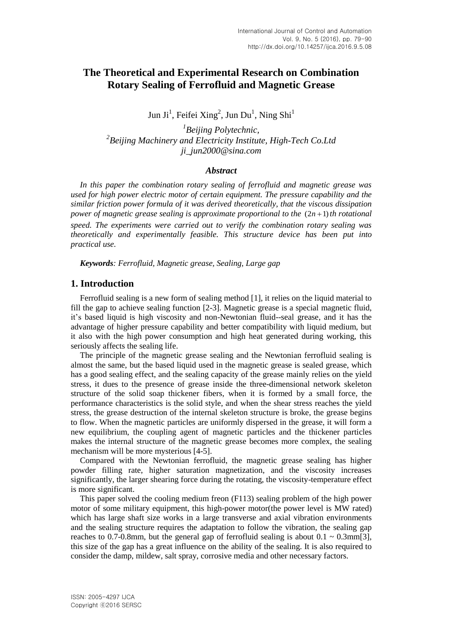# **The Theoretical and Experimental Research on Combination Rotary Sealing of Ferrofluid and Magnetic Grease**

Jun Ji<sup>1</sup>, Feifei Xing<sup>2</sup>, Jun Du<sup>1</sup>, Ning Shi<sup>1</sup>

*1 Beijing Polytechnic, 2 Beijing Machinery and Electricity Institute, High-Tech Co.Ltd ji\_jun2000@sina.com*

#### *Abstract*

*In this paper the combination rotary sealing of ferrofluid and magnetic grease was used for high power electric motor of certain equipment. The pressure capability and the similar friction power formula of it was derived theoretically, that the viscous dissipation*  power of magnetic grease sealing is approximate proportional to the  $(2n + 1)$  th rotational *speed. The experiments were carried out to verify the combination rotary sealing was theoretically and experimentally feasible. This structure device has been put into practical use.*

*Keywords: Ferrofluid, Magnetic grease, Sealing, Large gap*

### **1. Introduction**

Ferrofluid sealing is a new form of sealing method [1], it relies on the liquid material to fill the gap to achieve sealing function [2-3]. Magnetic grease is a special magnetic fluid, it's based liquid is high viscosity and non-Newtonian fluid--seal grease, and it has the advantage of higher pressure capability and better compatibility with liquid medium, but it also with the high power consumption and high heat generated during working, this seriously affects the sealing life.

The principle of the magnetic grease sealing and the Newtonian ferrofluid sealing is almost the same, but the based liquid used in the magnetic grease is sealed grease, which has a good sealing effect, and the sealing capacity of the grease mainly relies on the yield stress, it dues to the presence of grease inside the three-dimensional network skeleton structure of the solid soap thickener fibers, when it is formed by a small force, the performance characteristics is the solid style, and when the shear stress reaches the yield stress, the grease destruction of the internal skeleton structure is broke, the grease begins to flow. When the magnetic particles are uniformly dispersed in the grease, it will form a new equilibrium, the coupling agent of magnetic particles and the thickener particles makes the internal structure of the magnetic grease becomes more complex, the sealing mechanism will be more mysterious [4-5].

Compared with the Newtonian ferrofluid, the magnetic grease sealing has higher powder filling rate, higher saturation magnetization, and the viscosity increases significantly, the larger shearing force during the rotating, the viscosity-temperature effect is more significant.

This paper solved the cooling medium freon (F113) sealing problem of the high power motor of some military equipment, this high-power motor(the power level is MW rated) which has large shaft size works in a large transverse and axial vibration environments and the sealing structure requires the adaptation to follow the vibration, the sealing gap reaches to 0.7-0.8mm, but the general gap of ferrofluid sealing is about  $0.1 \sim 0.3$ mm[3], this size of the gap has a great influence on the ability of the sealing. It is also required to consider the damp, mildew, salt spray, corrosive media and other necessary factors.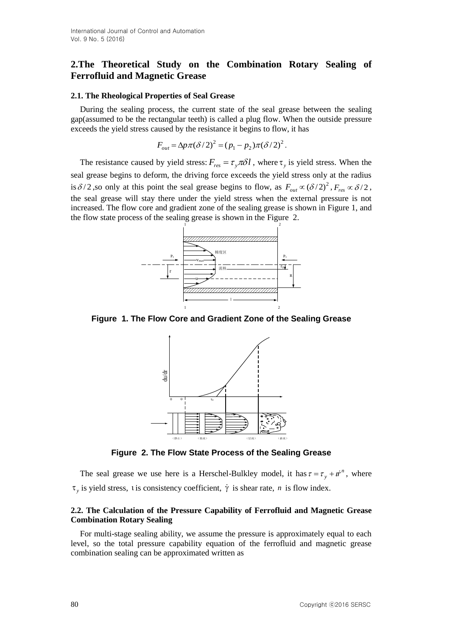## **2.The Theoretical Study on the Combination Rotary Sealing of Ferrofluid and Magnetic Grease**

#### **2.1. The Rheological Properties of Seal Grease**

During the sealing process, the current state of the seal grease between the sealing gap(assumed to be the rectangular teeth) is called a plug flow. When the outside pressure exceeds the yield stress caused by the resistance it begins to flow, it has

$$
F_{out} = \Delta p \pi (\delta / 2)^2 = (p_1 - p_2) \pi (\delta / 2)^2.
$$

The resistance caused by yield stress:  $F_{res} = \tau_y \pi \delta l$ , where  $\tau_y$  is yield stress. When the seal grease begins to deform, the driving force exceeds the yield stress only at the radius is  $\delta/2$ , so only at this point the seal grease begins to flow, as  $F_{out} \propto (\delta/2)^2$ ,  $F_{res} \propto \delta/2$ , the seal grease will stay there under the yield stress when the external pressure is not increased. The flow core and gradient zone of the sealing grease is shown in Figure 1, and the flow state process of the sealing grease is shown in the Figure 2.



**Figure 1. The Flow Core and Gradient Zone of the Sealing Grease**



**Figure 2. The Flow State Process of the Sealing Grease**

The seal grease we use here is a Herschel-Bulkley model, it has  $\tau = \tau_y + i\dot{r}^n$ , where  $\tau_y$  is yield stress, t is consistency coefficient,  $\dot{\gamma}$  is shear rate, *n* is flow index.

#### **2.2. The Calculation of the Pressure Capability of Ferrofluid and Magnetic Grease Combination Rotary Sealing**

For multi-stage sealing ability, we assume the pressure is approximately equal to each level, so the total pressure capability equation of the ferrofluid and magnetic grease combination sealing can be approximated written as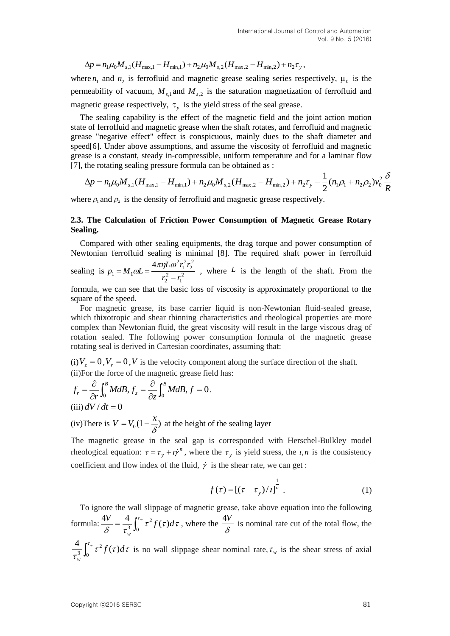$$
\Delta p = n_1 \mu_0 M_{s,1} (H_{\text{max},1} - H_{\text{min},1}) + n_2 \mu_0 M_{s,2} (H_{\text{max},2} - H_{\text{min},2}) + n_2 \tau_y,
$$

where  $n_1$  and  $n_2$  is ferrofluid and magnetic grease sealing series respectively,  $\mu_0$  is the permeability of vacuum,  $M_{s,1}$  and  $M_{s,2}$  is the saturation magnetization of ferrofluid and magnetic grease respectively,  $\tau_y$  is the yield stress of the seal grease.

The sealing capability is the effect of the magnetic field and the joint action motion state of ferrofluid and magnetic grease when the shaft rotates, and ferrofluid and magnetic grease "negative effect" effect is conspicuous, mainly dues to the shaft diameter and speed[6]. Under above assumptions, and assume the viscosity of ferrofluid and magnetic grease is a constant, steady in-compressible, uniform temperature and for a laminar flow [7], the rotating sealing pressure formula can be obtained as :

$$
\Delta p = n_1 \mu_0 M_{s,1} (H_{\text{max},1} - H_{\text{min},1}) + n_2 \mu_0 M_{s,2} (H_{\text{max},2} - H_{\text{min},2}) + n_2 \tau_y - \frac{1}{2} (n_1 \rho_1 + n_2 \rho_2) v_0^2 \frac{\delta}{R}
$$

where  $\rho_1$  and  $\rho_2$  is the density of ferrofluid and magnetic grease respectively.

#### **2.3. The Calculation of Friction Power Consumption of Magnetic Grease Rotary Sealing.**

Compared with other sealing equipments, the drag torque and power consumption of Newtonian ferrofluid sealing is minimal [8]. The required shaft power in ferrofluid

sealing is  $p_1 = M_1 \omega L = \frac{m_1 m_2 m_1}{r_2^2 - r_1^2}$  $2r_1^2r_2^2$  $v_1 - \nu v_1$ 4  $r_2^2 - r$  $L\omega^2 r_{\scriptscriptstyle\rm I}^2 r_{\scriptscriptstyle\rm I}$  $p_1 = M_1 \omega L$  $\overline{a}$  $=M_1 \omega L = \frac{4\pi \eta L \omega^2 r_1^2 r_2^2}{r_1^2 r_2^2}$ , where L is the length of the shaft. From the

formula, we can see that the basic loss of viscosity is approximately proportional to the square of the speed.

For magnetic grease, its base carrier liquid is non-Newtonian fluid-sealed grease, which thixotropic and shear thinning characteristics and rheological properties are more complex than Newtonian fluid, the great viscosity will result in the large viscous drag of rotation sealed. The following power consumption formula of the magnetic grease rotating seal is derived in Cartesian coordinates, assuming that:

(i)  $V_z = 0$ ,  $V_r = 0$ , V is the velocity component along the surface direction of the shaft. (ii)For the force of the magnetic grease field has:

$$
f_r = \frac{\partial}{\partial r} \int_0^B M dB, f_z = \frac{\partial}{\partial z} \int_0^B M dB, f = 0.
$$
  
(iii)  $dV/dt = 0$ 

(iv) There is  $V = V_0 \left(1 - \frac{\lambda}{\delta}\right)$  $V = V_0(1 - \frac{x}{2})$  at the height of the sealing layer

The magnetic grease in the seal gap is corresponded with Herschel-Bulkley model rheological equation:  $\tau = \tau_y + i\dot{\gamma}^n$ , where the  $\tau_y$  is yield stress, the *i*,*n* is the consistency coefficient and flow index of the fluid,  $\dot{\gamma}$  is the shear rate, we can get:

$$
f(\tau) = [(\tau - \tau_{y})/t]^{\frac{1}{n}}.
$$
 (1)

New  $\cos \mu_{\text{eff}} M_{\text{eff}} M_{\text{eff}} M_{\text{eff}} = H_{\text{eff}} M_{\text{eff}} + H_{\text{eff}} + H_{\text{eff}} + H_{\text{eff}} + H_{\text{eff}} + H_{\text{eff}} + H_{\text{eff}} + H_{\text{eff}} + H_{\text{eff}}$ <br>  $\alpha_{\text{eff}} = \mu_{\text{eff}} M_{\text{eff}} M_{\text{eff}} = \mu_{\text{eff}} M_{\text{eff}} = \mu_{\text{eff}} M_{\text{eff}} = \mu_{\text{eff}} M_{\text{eff}} = \mu_{\text{eff}} M_{\text{eff}} = \mu_{\text{$ To ignore the wall slippage of magnetic grease, take above equation into the following formula:  $\frac{1}{\delta} = \frac{1}{\tau^3} \int_0^{\pi} \tau^2 f(\tau) d\tau$  $\frac{V}{c} = \frac{4}{3} \int_{0}^{\tau_{w}} \tau^{2} f(\tau) d\tau$ *w*  $\frac{4V}{c} = \frac{4}{3} \int_{0}^{\tau_{w}} \tau^{2} f(\tau)$  $\mathbf{0}$  $=\frac{4}{\tau^3}\int_0^{\tau_w}\tau^2 f(\tau)d\tau$ , where the  $\frac{4V}{\delta}$  $\frac{4V}{\lambda}$  is nominal rate cut of the total flow, the τ τιτιατ τ  $\int_{0}^{\tau_{w}} \tau^{2} f(\tau) d\tau$ *w*  $\frac{4}{3}\int_{0}^{\tau_{w}}\tau^{2}f(\tau)$  $\mathbf{0}$  $\int_{3}^{1} \int_{0}^{1} \tau^{2} f(\tau) d\tau$  is no wall slippage shear nominal rate,  $\tau_{w}$  is the shear stress of axial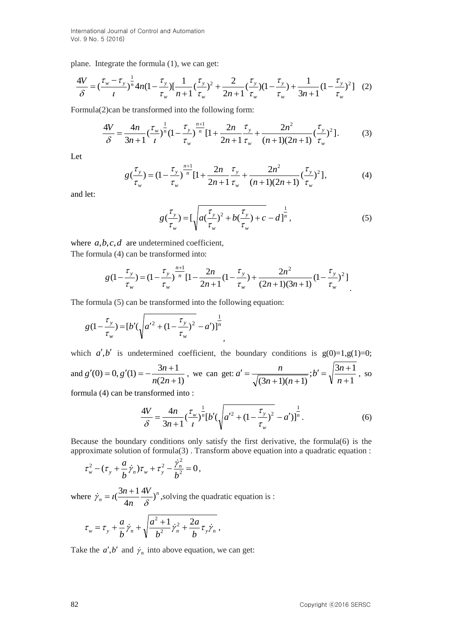plane. Integrate the formula (1), we can get:

$$
\frac{4V}{\delta} = \left(\frac{\tau_w - \tau_y}{t}\right)^{\frac{1}{n}} 4n(1 - \frac{\tau_y}{\tau_w}) \left[\frac{1}{n+1}(\frac{\tau_y}{\tau_w})^2 + \frac{2}{2n+1}(\frac{\tau_y}{\tau_w})(1 - \frac{\tau_y}{\tau_w}) + \frac{1}{3n+1}(1 - \frac{\tau_y}{\tau_w})^2\right] (2)
$$

Formula(2)can be transformed into the following form:

$$
\frac{4V}{\delta} = \frac{4n}{3n+1} \left(\frac{\tau_w}{t}\right)^{\frac{1}{n}} \left(1 - \frac{\tau_y}{\tau_w}\right)^{\frac{n+1}{n}} \left[1 + \frac{2n}{2n+1} \frac{\tau_y}{\tau_w} + \frac{2n^2}{(n+1)(2n+1)} \left(\frac{\tau_y}{\tau_w}\right)^2\right].
$$
 (3)

Let

$$
g\left(\frac{\tau_y}{\tau_w}\right) = \left(1 - \frac{\tau_y}{\tau_w}\right)^{\frac{n+1}{n}} \left[1 + \frac{2n}{2n+1} \frac{\tau_y}{\tau_w} + \frac{2n^2}{(n+1)(2n+1)} \left(\frac{\tau_y}{\tau_w}\right)^2\right],\tag{4}
$$

and let:

$$
g\left(\frac{\tau_y}{\tau_w}\right) = \left[\sqrt{a\left(\frac{\tau_y}{\tau_w}\right)^2 + b\left(\frac{\tau_y}{\tau_w}\right) + c} - d\right]^{\frac{1}{n}},\tag{5}
$$

where  $a,b,c,d$  are undetermined coefficient, The formula (4) can be transformed into:

$$
g(1-\frac{\tau_y}{\tau_w}) = (1-\frac{\tau_y}{\tau_w})^{\frac{n+1}{n}} [1-\frac{2n}{2n+1}(1-\frac{\tau_y}{\tau_w}) + \frac{2n^2}{(2n+1)(3n+1)}(1-\frac{\tau_y}{\tau_w})^2]
$$

The formula (5) can be transformed into the following equation:

$$
g(1 - \frac{\tau_{y}}{\tau_{w}}) = [b'(\sqrt{{a'}^{2} + (1 - \frac{\tau_{y}}{\tau_{w}})^{2}} - a')]^{\frac{1}{n}}
$$

which  $a', b'$  is undetermined coefficient, the boundary conditions is  $g(0)=1, g(1)=0;$ and  $(2n+1)$  $(0) = 0, g'(1) = -\frac{3n+1}{2}$  $\ddot{}$  $f'(0) = 0, g'(1) = -\frac{3n+1}{2}$ *n n*  $g'(0) = 0, g'(1) = -\frac{3n+1}{2}$ , we can get: 1  $; b' = \sqrt{\frac{3n+1}{4}}$  $(3n+1)(n+1)$ <sup>\*</sup>  $\sqrt[n]{n+1}$  $v' = \sqrt{\frac{3n + 1}{2}}$  $+1(n+$  $' =$ *n*  $b' = \sqrt{\frac{3n}{m}}$  $n+1$ )(*n*  $a' = \frac{n}{\sqrt{3n+1}}$ , so formula (4) can be transformed into :

,

$$
\frac{4V}{\delta} = \frac{4n}{3n+1} \left(\frac{\tau_w}{l}\right)^{\frac{1}{n}} \left[b'\left(\sqrt{a'^2 + \left(1 - \frac{\tau_y}{\tau_w}\right)^2} - a'\right)\right]^{\frac{1}{n}}.\tag{6}
$$

Because the boundary conditions only satisfy the first derivative, the formula(6) is the approximate solution of formula( $3$ ). Transform above equation into a quadratic equation :

$$
\tau_w^2 - (\tau_y + \frac{a}{b}\dot{\gamma}_n)\tau_w + \tau_y^2 - \frac{\dot{\gamma}_n^2}{b^2} = 0,
$$

where  $\dot{\gamma}_n = i(\frac{3n+1}{n+1})^n$ *n V n*  $\frac{n+1}{2}$   $\frac{4V}{2}$ 4  $\dot{\gamma}_n = t(\frac{3n+1}{4n}\frac{4V}{\delta})^n$ , solving the quadratic equation is :

$$
\tau_{w} = \tau_{y} + \frac{a}{b} \dot{\gamma}_{n} + \sqrt{\frac{a^{2} + 1}{b^{2}} \dot{\gamma}_{n}^{2} + \frac{2a}{b} \tau_{y} \dot{\gamma}_{n}} ,
$$

Take the  $a', b'$  and  $\dot{\gamma}_n$  into above equation, we can get: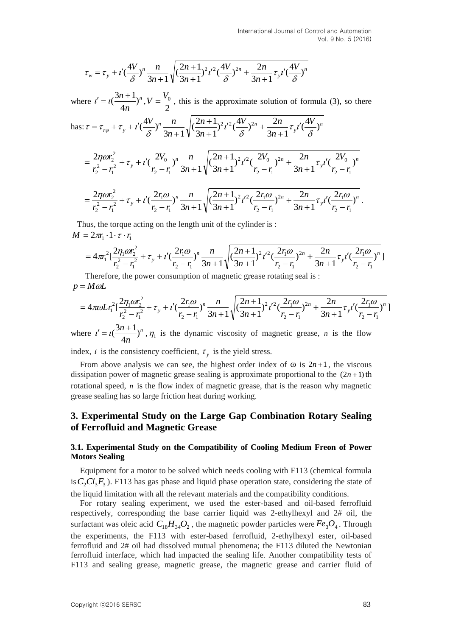$$
\tau_w = \tau_y + t' \left(\frac{4V}{\delta}\right)^n \frac{n}{3n+1} \sqrt{\left(\frac{2n+1}{3n+1}\right)^2 t'^2 \left(\frac{4V}{\delta}\right)^{2n} + \frac{2n}{3n+1} \tau_y t' \left(\frac{4V}{\delta}\right)^n}
$$

where  $t' = t(\frac{3n+1}{t})^n$ *n*  $\frac{n+1}{2}$ 4  $t' = t(\frac{3n+1}{t})^n$ , 2  $V = \frac{V_0}{S}$ , this is the approximate solution of formula (3), so there

has: 
$$
\tau = \tau_{r\varphi} + \tau_y + t'(\frac{4V}{\delta})^n \frac{n}{3n+1} \sqrt{(\frac{2n+1}{3n+1})^2 t'^2 (\frac{4V}{\delta})^{2n} + \frac{2n}{3n+1} \tau_y t' (\frac{4V}{\delta})^n}
$$

$$
= \frac{2\eta\omega r_2^2}{r_2^2 - r_1^2} + \tau_y + i'(\frac{2V_0}{r_2 - r_1})^n \frac{n}{3n+1} \sqrt{(\frac{2n+1}{3n+1})^2 i'^2 (\frac{2V_0}{r_2 - r_1})^{2n} + \frac{2n}{3n+1} \tau_y i'(\frac{2V_0}{r_2 - r_1})^n}
$$
  
= 
$$
\frac{2\eta\omega r_2^2}{r_2^2 + \tau_y} + i'(\frac{2r_1\omega}{r_2})^n \frac{n}{\sqrt{(\frac{2n+1}{3n+1})^2 i'^2 (\frac{2r_1\omega}{r_2})^{2n} + \frac{2n}{3n+1} \tau_y'(\frac{2r_1\omega}{r_2})^n}}
$$

$$
=\frac{2\eta\omega r_2^2}{r_2^2-r_1^2}+\tau_y+t'(\frac{2r_1\omega}{r_2-r_1})^n\frac{n}{3n+1}\sqrt{(\frac{2n+1}{3n+1})^2t'^2(\frac{2r_1\omega}{r_2-r_1})^{2n}}+\frac{2n}{3n+1}\tau_yt'(\frac{2r_1\omega}{r_2-r_1})
$$

 Thus, the torque acting on the length unit of the cylinder is :  $M = 2\pi r_1 \cdot 1 \cdot \tau \cdot r_1$ 

$$
=4\pi r_1^2 \left[\frac{2\eta_1 \omega r_2^2}{r_2^2-r_1^2}+ \tau_y + i' \left(\frac{2r_1 \omega}{r_2-r_1}\right)^n \frac{n}{3n+1} \sqrt{\left(\frac{2n+1}{3n+1}\right)^2 t'^2 \left(\frac{2r_1 \omega}{r_2-r_1}\right)^{2n} + \frac{2n}{3n+1} \tau_y i' \left(\frac{2r_1 \omega}{r_2-r_1}\right)^n}
$$

 Therefore, the power consumption of magnetic grease rotating seal is :  $p = M\omega L$ 

$$
=4\pi\omega L r_1^2 \left[\frac{2\eta_1 \omega r_2^2}{r_2^2-r_1^2}+ \tau_y+i'\left(\frac{2r_1\omega}{r_2-r_1}\right)^n\frac{n}{3n+1}\sqrt{\left(\frac{2n+1}{3n+1}\right)^2 t'^2 \left(\frac{2r_1\omega}{r_2-r_1}\right)^{2n}+\frac{2n}{3n+1}\tau_y i'\left(\frac{2r_1\omega}{r_2-r_1}\right)^n}\right]
$$

where  $t' = t(\frac{3n+1}{t})^n$ *n*  $\frac{n+1}{2}$ 4  $t' = t\left(\frac{3n+1}{1}\right)^n$ ,  $\eta_1$  is the dynamic viscosity of magnetic grease, *n* is the flow

index,  $\iota$  is the consistency coefficient,  $\tau_y$  is the yield stress.

From above analysis we can see, the highest order index of  $\omega$  is  $2n+1$ , the viscous dissipation power of magnetic grease sealing is approximate proportional to the  $(2n+1)$ th rotational speed, *n* is the flow index of magnetic grease, that is the reason why magnetic grease sealing has so large friction heat during working.

## **3. Experimental Study on the Large Gap Combination Rotary Sealing of Ferrofluid and Magnetic Grease**

#### **3.1. Experimental Study on the Compatibility of Cooling Medium Freon of Power Motors Sealing**

Equipment for a motor to be solved which needs cooling with F113 (chemical formula is  $C_2Cl_3F_3$ ). F113 has gas phase and liquid phase operation state, considering the state of the liquid limitation with all the relevant materials and the compatibility conditions.

 $\tau_z = \tau_z + \ell(\frac{3\pi}{6})^n \frac{r_0}{3n+1} \sqrt{\frac{e^{2\pi}}{3n+1}} \gamma^2 \ell^2(\frac{3\pi}{6})^{3n} + \frac{r_0}{3n+1} \tau_z \ell(\frac{7\pi}{6})^n$ <br>
where  $\ell = 1 + 1 \cdot \ell$ , this is the approximate solution of formula (3), so there<br>
thus  $\tau = \tau_{\nu} + \tau_z + \ell(\frac{3V}{6})^n - \frac{n$ For rotary sealing experiment, we used the ester-based and oil-based ferrofluid respectively, corresponding the base carrier liquid was 2-ethylhexyl and 2# oil, the surfactant was oleic acid  $C_{18}H_{34}O_2$ , the magnetic powder particles were  $Fe_3O_4$ . Through the experiments, the F113 with ester-based ferrofluid, 2-ethylhexyl ester, oil-based ferrofluid and 2# oil had dissolved mutual phenomena; the F113 diluted the Newtonian ferrofluid interface, which had impacted the sealing life. Another compatibility tests of F113 and sealing grease, magnetic grease, the magnetic grease and carrier fluid of

.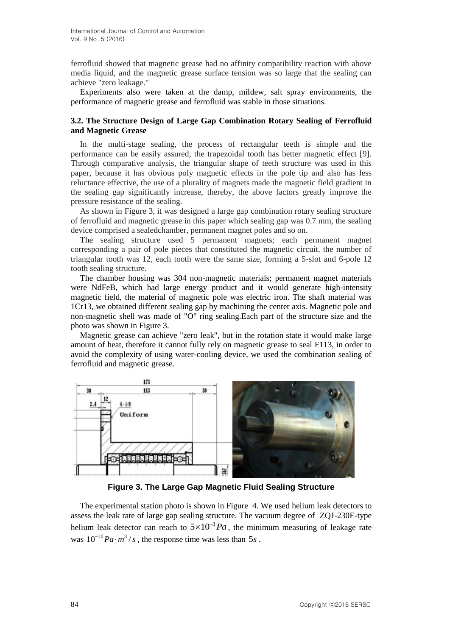ferrofluid showed that magnetic grease had no affinity compatibility reaction with above media liquid, and the magnetic grease surface tension was so large that the sealing can achieve "zero leakage."

Experiments also were taken at the damp, mildew, salt spray environments, the performance of magnetic grease and ferrofluid was stable in those situations.

### **3.2. The Structure Design of Large Gap Combination Rotary Sealing of Ferrofluid and Magnetic Grease**

In the multi-stage sealing, the process of rectangular teeth is simple and the performance can be easily assured, the trapezoidal tooth has better magnetic effect [9]. Through comparative analysis, the triangular shape of teeth structure was used in this paper, because it has obvious poly magnetic effects in the pole tip and also has less reluctance effective, the use of a plurality of magnets made the magnetic field gradient in the sealing gap significantly increase, thereby, the above factors greatly improve the pressure resistance of the sealing.

As shown in Figure 3, it was designed a large gap combination rotary sealing structure of ferrofluid and magnetic grease in this paper which sealing gap was 0.7 mm, the sealing device comprised a sealedchamber, permanent magnet poles and so on.

The sealing structure used 5 permanent magnets; each permanent magnet corresponding a pair of pole pieces that constituted the magnetic circuit, the number of triangular tooth was 12, each tooth were the same size, forming a 5-slot and 6-pole 12 tooth sealing structure.

The chamber housing was 304 non-magnetic materials; permanent magnet materials were NdFeB, which had large energy product and it would generate high-intensity magnetic field, the material of magnetic pole was electric iron. The shaft material was 1Cr13, we obtained different sealing gap by machining the center axis. Magnetic pole and non-magnetic shell was made of "O" ring sealing.Each part of the structure size and the photo was shown in Figure 3.

Magnetic grease can achieve "zero leak", but in the rotation state it would make large amount of heat, therefore it cannot fully rely on magnetic grease to seal F113, in order to avoid the complexity of using water-cooling device, we used the combination sealing of ferrofluid and magnetic grease.



**Figure 3. The Large Gap Magnetic Fluid Sealing Structure** 

The experimental station photo is shown in Figure 4. We used helium leak detectors to assess the leak rate of large gap sealing structure. The vacuum degree of ZQJ-230E-type helium leak detector can reach to  $5 \times 10^{-3} Pa$ , the minimum measuring of leakage rate was  $10^{-10} Pa \cdot m^3 / s$ , the response time was less than 5*s*.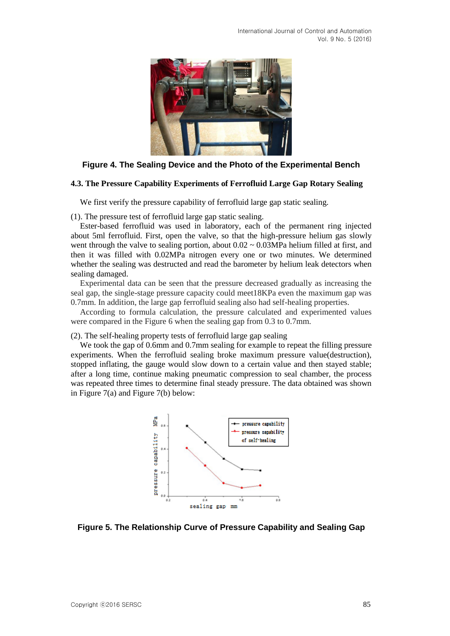

#### **Figure 4. The Sealing Device and the Photo of the Experimental Bench**

#### **4.3. The Pressure Capability Experiments of Ferrofluid Large Gap Rotary Sealing**

We first verify the pressure capability of ferrofluid large gap static sealing.

(1). The pressure test of ferrofluid large gap static sealing.

Ester-based ferrofluid was used in laboratory, each of the permanent ring injected about 5ml ferrofluid. First, open the valve, so that the high-pressure helium gas slowly went through the valve to sealing portion, about  $0.02 \sim 0.03 \text{MPa}$  helium filled at first, and then it was filled with 0.02MPa nitrogen every one or two minutes. We determined whether the sealing was destructed and read the barometer by helium leak detectors when sealing damaged.

Experimental data can be seen that the pressure decreased gradually as increasing the seal gap, the single-stage pressure capacity could meet18KPa even the maximum gap was 0.7mm. In addition, the large gap ferrofluid sealing also had self-healing properties.

According to formula calculation, the pressure calculated and experimented values were compared in the Figure 6 when the sealing gap from 0.3 to 0.7mm.

(2). The self-healing property tests of ferrofluid large gap sealing

We took the gap of 0.6mm and 0.7mm sealing for example to repeat the filling pressure experiments. When the ferrofluid sealing broke maximum pressure value(destruction), stopped inflating, the gauge would slow down to a certain value and then stayed stable; after a long time, continue making pneumatic compression to seal chamber, the process was repeated three times to determine final steady pressure. The data obtained was shown in Figure 7(a) and Figure 7(b) below:



**Figure 5. The Relationship Curve of Pressure Capability and Sealing Gap**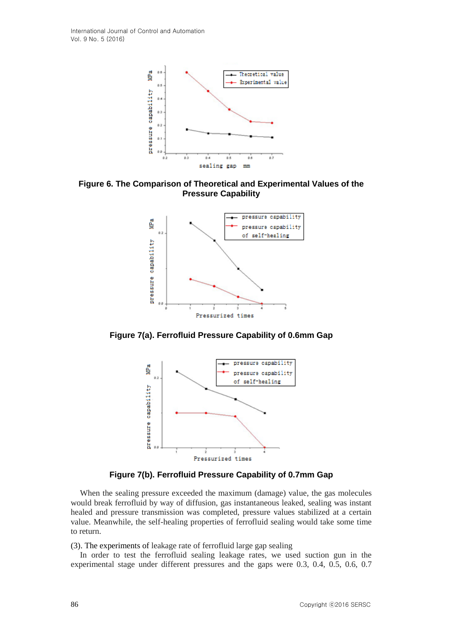

**Figure 6. The Comparison of Theoretical and Experimental Values of the Pressure Capability**



**Figure 7(a). Ferrofluid Pressure Capability of 0.6mm Gap**



**Figure 7(b). Ferrofluid Pressure Capability of 0.7mm Gap**

When the sealing pressure exceeded the maximum (damage) value, the gas molecules would break ferrofluid by way of diffusion, gas instantaneous leaked, sealing was instant healed and pressure transmission was completed, pressure values stabilized at a certain value. Meanwhile, the self-healing properties of ferrofluid sealing would take some time to return.

(3). The experiments of leakage rate of ferrofluid large gap sealing

In order to test the ferrofluid sealing leakage rates, we used suction gun in the experimental stage under different pressures and the gaps were 0.3, 0.4, 0.5, 0.6, 0.7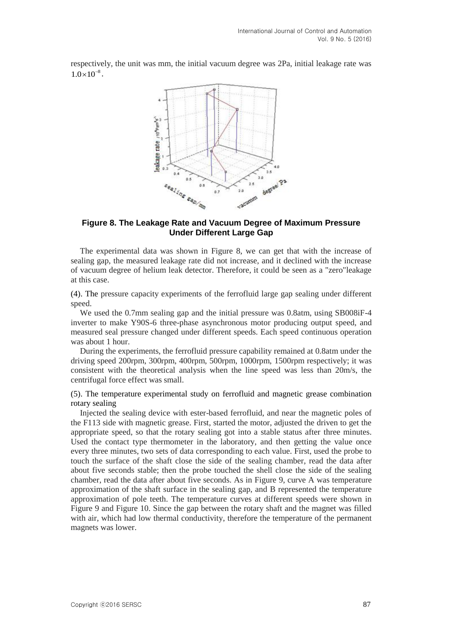respectively, the unit was mm, the initial vacuum degree was 2Pa, initial leakage rate was  $1.0 \times 10^{-8}$ .



#### **Figure 8. The Leakage Rate and Vacuum Degree of Maximum Pressure Under Different Large Gap**

The experimental data was shown in Figure 8, we can get that with the increase of sealing gap, the measured leakage rate did not increase, and it declined with the increase of vacuum degree of helium leak detector. Therefore, it could be seen as a "zero"leakage at this case.

(4). The pressure capacity experiments of the ferrofluid large gap sealing under different speed.

We used the 0.7mm sealing gap and the initial pressure was 0.8atm, using SB008iF-4 inverter to make Y90S-6 three-phase asynchronous motor producing output speed, and measured seal pressure changed under different speeds. Each speed continuous operation was about 1 hour.

During the experiments, the ferrofluid pressure capability remained at 0.8atm under the driving speed 200rpm, 300rpm, 400rpm, 500rpm, 1000rpm, 1500rpm respectively; it was consistent with the theoretical analysis when the line speed was less than 20m/s, the centrifugal force effect was small.

(5). The temperature experimental study on ferrofluid and magnetic grease combination rotary sealing

Injected the sealing device with ester-based ferrofluid, and near the magnetic poles of the F113 side with magnetic grease. First, started the motor, adjusted the driven to get the appropriate speed, so that the rotary sealing got into a stable status after three minutes. Used the contact type thermometer in the laboratory, and then getting the value once every three minutes, two sets of data corresponding to each value. First, used the probe to touch the surface of the shaft close the side of the sealing chamber, read the data after about five seconds stable; then the probe touched the shell close the side of the sealing chamber, read the data after about five seconds. As in Figure 9, curve A was temperature approximation of the shaft surface in the sealing gap, and B represented the temperature approximation of pole teeth. The temperature curves at different speeds were shown in Figure 9 and Figure 10. Since the gap between the rotary shaft and the magnet was filled with air, which had low thermal conductivity, therefore the temperature of the permanent magnets was lower.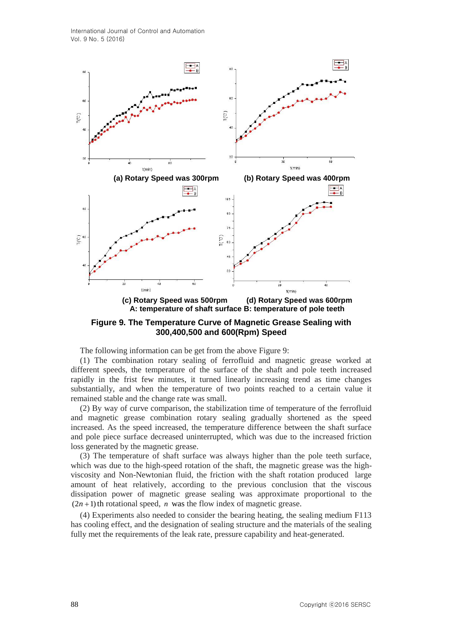International Journal of Control and Automation Vol. 9 No. 5 (2016)



**Figure 9. The Temperature Curve of Magnetic Grease Sealing with 300,400,500 and 600(Rpm) Speed**

The following information can be get from the above Figure 9:

(1) The combination rotary sealing of ferrofluid and magnetic grease worked at different speeds, the temperature of the surface of the shaft and pole teeth increased rapidly in the frist few minutes, it turned linearly increasing trend as time changes substantially, and when the temperature of two points reached to a certain value it remained stable and the change rate was small.

(2) By way of curve comparison, the stabilization time of temperature of the ferrofluid and magnetic grease combination rotary sealing gradually shortened as the speed increased. As the speed increased, the temperature difference between the shaft surface and pole piece surface decreased uninterrupted, which was due to the increased friction loss generated by the magnetic grease.

(3) The temperature of shaft surface was always higher than the pole teeth surface, which was due to the high-speed rotation of the shaft, the magnetic grease was the highviscosity and Non-Newtonian fluid, the friction with the shaft rotation produced large amount of heat relatively, according to the previous conclusion that the viscous dissipation power of magnetic grease sealing was approximate proportional to the  $(2n+1)$  th rotational speed, *n* was the flow index of magnetic grease.

(4) Experiments also needed to consider the bearing heating, the sealing medium F113 has cooling effect, and the designation of sealing structure and the materials of the sealing fully met the requirements of the leak rate, pressure capability and heat-generated.